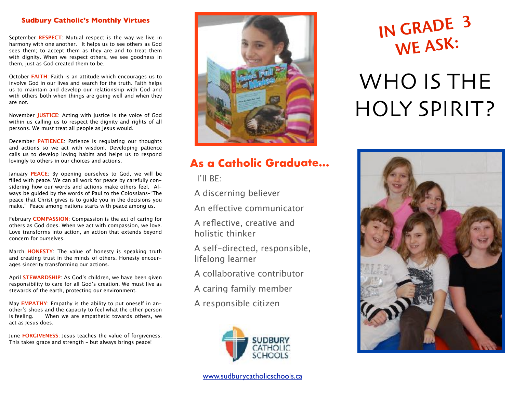#### **Sudbury Catholic's Monthly Virtues**

September **RESPECT**: Mutual respect is the way we live in harmony with one another. It helps us to see others as God sees them; to accept them as they are and to treat them with dignity. When we respect others, we see goodness in them, just as God created them to be.

October **FAITH**: Faith is an attitude which encourages us to involve God in our lives and search for the truth. Faith helps us to maintain and develop our relationship with God and with others both when things are going well and when they are not.

November **JUSTICE**: Acting with justice is the voice of God within us calling us to respect the dignity and rights of all persons. We must treat all people as Jesus would.

December **PATIENCE**: Patience is regulating our thoughts and actions so we act with wisdom. Developing patience calls us to develop loving habits and helps us to respond lovingly to others in our choices and actions.

January **PEACE**: By opening ourselves to God, we will be filled with peace. We can all work for peace by carefully considering how our words and actions make others feel. Always be guided by the words of Paul to the Colossians–"The peace that Christ gives is to guide you in the decisions you make." Peace among nations starts with peace among us.

February **COMPASSION**: Compassion is the act of caring for others as God does. When we act with compassion, we love. Love transforms into action, an action that extends beyond concern for ourselves.

March **HONESTY**: The value of honesty is speaking truth and creating trust in the minds of others. Honesty encourages sincerity transforming our actions.

April **STEWARDSHIP**: As God's children, we have been given responsibility to care for all God's creation. We must live as stewards of the earth, protecting our environment.

May **EMPATHY**: Empathy is the ability to put oneself in another's shoes and the capacity to feel what the other person is feeling. When we are empathetic towards others, we act as Jesus does.

June **FORGIVENESS**: Jesus teaches the value of forgiveness. This takes grace and strength – but always brings peace!



### **As a Catholic Graduate...**

I'll BE:

A discerning believer

An efective communicator

A reflective, creative and holistic thinker

A self-directed, responsible, lifelong learner

A collaborative contributor

A caring family member

A responsible citizen



### IN GRADE <sup>3</sup> WE ASK:

## WHO IS THE HOLY SPIRIT?